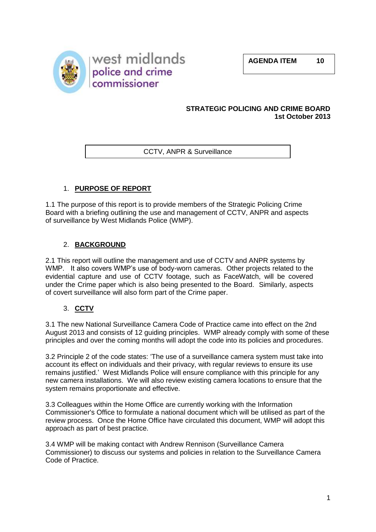**AGENDA ITEM 10**



#### **STRATEGIC POLICING AND CRIME BOARD 1st October 2013**

CCTV, ANPR & Surveillance

## 1. **PURPOSE OF REPORT**

1.1 The purpose of this report is to provide members of the Strategic Policing Crime Board with a briefing outlining the use and management of CCTV, ANPR and aspects of surveillance by West Midlands Police (WMP).

## 2. **BACKGROUND**

2.1 This report will outline the management and use of CCTV and ANPR systems by WMP. It also covers WMP's use of body-worn cameras. Other projects related to the evidential capture and use of CCTV footage, such as FaceWatch, will be covered under the Crime paper which is also being presented to the Board. Similarly, aspects of covert surveillance will also form part of the Crime paper.

## 3. **CCTV**

3.1 The new National Surveillance Camera Code of Practice came into effect on the 2nd August 2013 and consists of 12 guiding principles. WMP already comply with some of these principles and over the coming months will adopt the code into its policies and procedures.

3.2 Principle 2 of the code states: 'The use of a surveillance camera system must take into account its effect on individuals and their privacy, with regular reviews to ensure its use remains justified.' West Midlands Police will ensure compliance with this principle for any new camera installations. We will also review existing camera locations to ensure that the system remains proportionate and effective.

3.3 Colleagues within the Home Office are currently working with the Information Commissioner's Office to formulate a national document which will be utilised as part of the review process. Once the Home Office have circulated this document, WMP will adopt this approach as part of best practice.

3.4 WMP will be making contact with Andrew Rennison (Surveillance Camera Commissioner) to discuss our systems and policies in relation to the Surveillance Camera Code of Practice.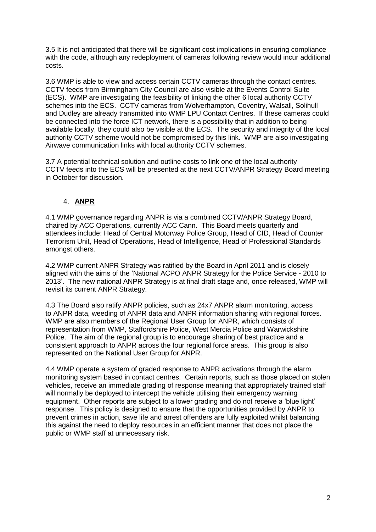3.5 It is not anticipated that there will be significant cost implications in ensuring compliance with the code, although any redeployment of cameras following review would incur additional costs.

3.6 WMP is able to view and access certain CCTV cameras through the contact centres. CCTV feeds from Birmingham City Council are also visible at the Events Control Suite (ECS). WMP are investigating the feasibility of linking the other 6 local authority CCTV schemes into the ECS. CCTV cameras from Wolverhampton, Coventry, Walsall, Solihull and Dudley are already transmitted into WMP LPU Contact Centres. If these cameras could be connected into the force ICT network, there is a possibility that in addition to being available locally, they could also be visible at the ECS. The security and integrity of the local authority CCTV scheme would not be compromised by this link. WMP are also investigating Airwave communication links with local authority CCTV schemes.

3.7 A potential technical solution and outline costs to link one of the local authority CCTV feeds into the ECS will be presented at the next CCTV/ANPR Strategy Board meeting in October for discussion.

## 4. **ANPR**

4.1 WMP governance regarding ANPR is via a combined CCTV/ANPR Strategy Board, chaired by ACC Operations, currently ACC Cann. This Board meets quarterly and attendees include: Head of Central Motorway Police Group, Head of CID, Head of Counter Terrorism Unit, Head of Operations, Head of Intelligence, Head of Professional Standards amongst others.

4.2 WMP current ANPR Strategy was ratified by the Board in April 2011 and is closely aligned with the aims of the 'National ACPO ANPR Strategy for the Police Service - 2010 to 2013'. The new national ANPR Strategy is at final draft stage and, once released, WMP will revisit its current ANPR Strategy.

4.3 The Board also ratify ANPR policies, such as 24x7 ANPR alarm monitoring, access to ANPR data, weeding of ANPR data and ANPR information sharing with regional forces. WMP are also members of the Regional User Group for ANPR, which consists of representation from WMP, Staffordshire Police, West Mercia Police and Warwickshire Police. The aim of the regional group is to encourage sharing of best practice and a consistent approach to ANPR across the four regional force areas. This group is also represented on the National User Group for ANPR.

4.4 WMP operate a system of graded response to ANPR activations through the alarm monitoring system based in contact centres. Certain reports, such as those placed on stolen vehicles, receive an immediate grading of response meaning that appropriately trained staff will normally be deployed to intercept the vehicle utilising their emergency warning equipment. Other reports are subject to a lower grading and do not receive a 'blue light' response. This policy is designed to ensure that the opportunities provided by ANPR to prevent crimes in action, save life and arrest offenders are fully exploited whilst balancing this against the need to deploy resources in an efficient manner that does not place the public or WMP staff at unnecessary risk.